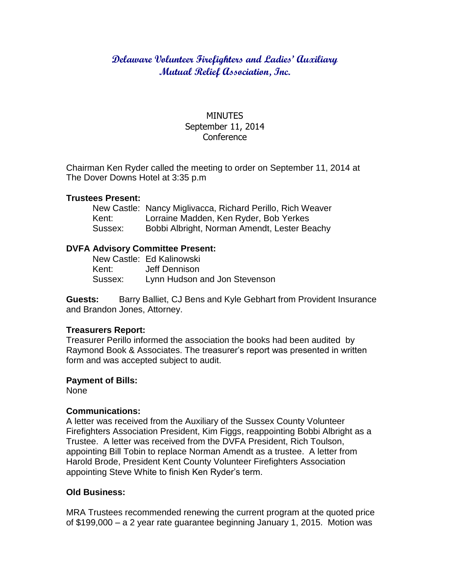# **Delaware Volunteer Firefighters and Ladies' Auxiliary Mutual Relief Association, Inc.**

# MINUTES September 11, 2014 **Conference**

Chairman Ken Ryder called the meeting to order on September 11, 2014 at The Dover Downs Hotel at 3:35 p.m

## **Trustees Present:**

|         | New Castle: Nancy Miglivacca, Richard Perillo, Rich Weaver |
|---------|------------------------------------------------------------|
| Kent:   | Lorraine Madden, Ken Ryder, Bob Yerkes                     |
| Sussex: | Bobbi Albright, Norman Amendt, Lester Beachy               |

# **DVFA Advisory Committee Present:**

|         | New Castle: Ed Kalinowski     |
|---------|-------------------------------|
| Kent:   | Jeff Dennison                 |
| Sussex: | Lynn Hudson and Jon Stevenson |

**Guests:** Barry Balliet, CJ Bens and Kyle Gebhart from Provident Insurance and Brandon Jones, Attorney.

# **Treasurers Report:**

Treasurer Perillo informed the association the books had been audited by Raymond Book & Associates. The treasurer's report was presented in written form and was accepted subject to audit.

#### **Payment of Bills:**

None

# **Communications:**

A letter was received from the Auxiliary of the Sussex County Volunteer Firefighters Association President, Kim Figgs, reappointing Bobbi Albright as a Trustee. A letter was received from the DVFA President, Rich Toulson, appointing Bill Tobin to replace Norman Amendt as a trustee. A letter from Harold Brode, President Kent County Volunteer Firefighters Association appointing Steve White to finish Ken Ryder's term.

# **Old Business:**

MRA Trustees recommended renewing the current program at the quoted price of \$199,000 – a 2 year rate guarantee beginning January 1, 2015. Motion was